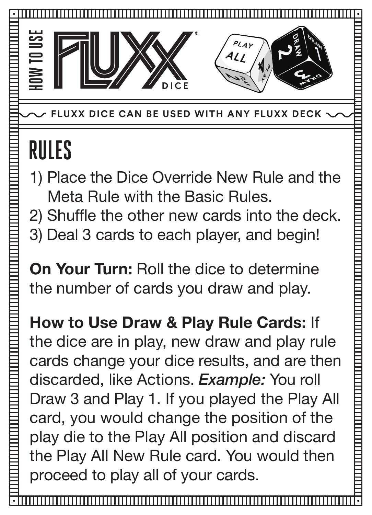

**EXAGE CAN BE USED WITH ANY FLUXX DECK** 

## **RULES**

- 1) Place the Dice Override New Rule and the Meta Rule with the Basic Rules.
- 2) Shuffle the other new cards into the deck.
- 3) Deal 3 cards to each player, and begin!

**On Your Turn:** Roll the dice to determine the number of cards you draw and play.

**How to Use Draw & Play Rule Cards:** If the dice are in play, new draw and play rule cards change your dice results, and are then discarded, like Actions. *Example:* You roll Draw 3 and Play 1. If you played the Play All card, you would change the position of the play die to the Play All position and discard the Play All New Rule card. You would then proceed to play all of your cards.